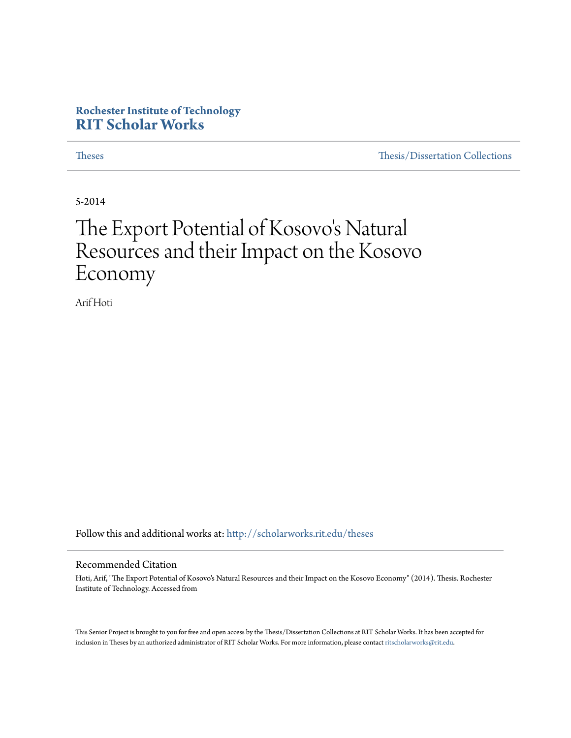# **Rochester Institute of Technology [RIT Scholar Works](http://scholarworks.rit.edu?utm_source=scholarworks.rit.edu%2Ftheses%2F8115&utm_medium=PDF&utm_campaign=PDFCoverPages)**

[Theses](http://scholarworks.rit.edu/theses?utm_source=scholarworks.rit.edu%2Ftheses%2F8115&utm_medium=PDF&utm_campaign=PDFCoverPages) [Thesis/Dissertation Collections](http://scholarworks.rit.edu/etd_collections?utm_source=scholarworks.rit.edu%2Ftheses%2F8115&utm_medium=PDF&utm_campaign=PDFCoverPages)

5-2014

# The Export Potential of Kosovo 's Natural Resources and their Impact on the Kosovo Economy

Arif Hoti

Follow this and additional works at: [http://scholarworks.rit.edu/theses](http://scholarworks.rit.edu/theses?utm_source=scholarworks.rit.edu%2Ftheses%2F8115&utm_medium=PDF&utm_campaign=PDFCoverPages)

#### Recommended Citation

Hoti, Arif, "The Export Potential of Kosovo's Natural Resources and their Impact on the Kosovo Economy" (2014). Thesis. Rochester Institute of Technology. Accessed from

This Senior Project is brought to you for free and open access by the Thesis/Dissertation Collections at RIT Scholar Works. It has been accepted for inclusion in Theses by an authorized administrator of RIT Scholar Works. For more information, please contact [ritscholarworks@rit.edu](mailto:ritscholarworks@rit.edu).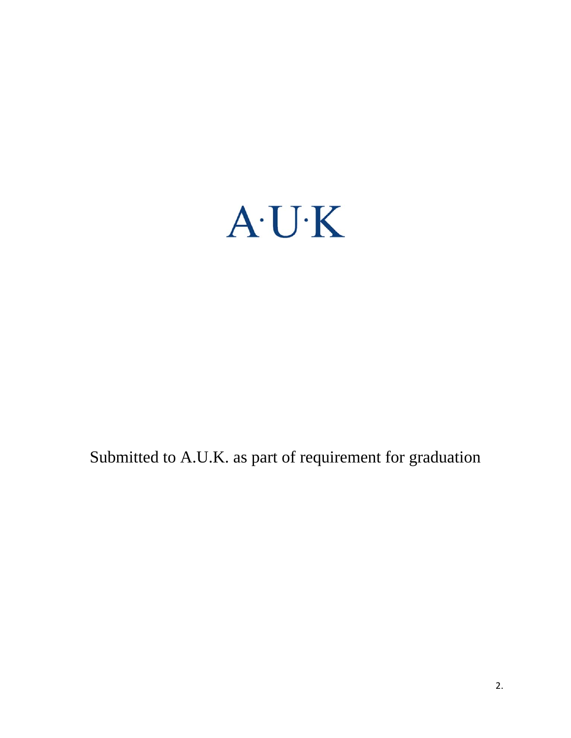

Submitted to A.U.K. as part of requirement for graduation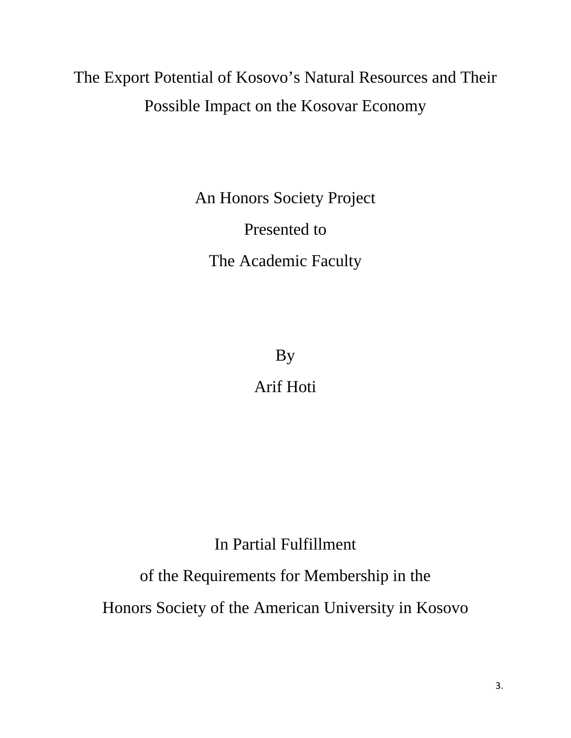# The Export Potential of Kosovo's Natural Resources and Their Possible Impact on the Kosovar Economy

An Honors Society Project Presented to The Academic Faculty

By

Arif Hoti

In Partial Fulfillment

of the Requirements for Membership in the

Honors Society of the American University in Kosovo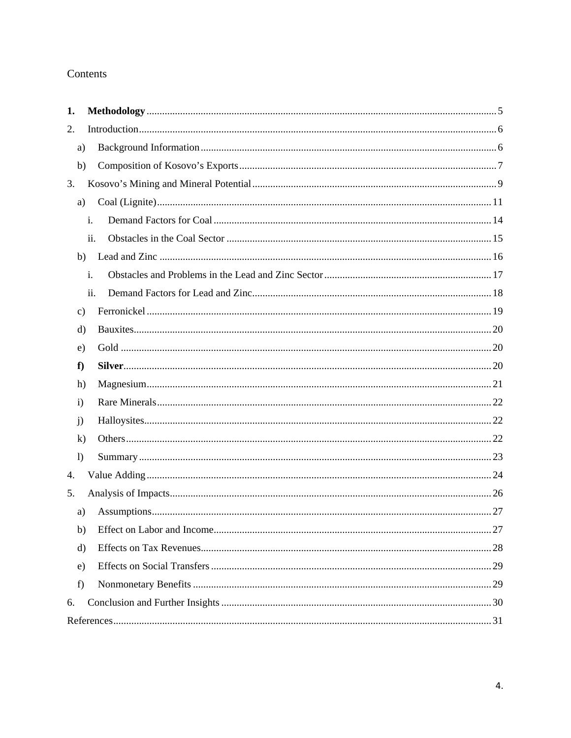# Contents

| 1.               |     |  |
|------------------|-----|--|
| 2.               |     |  |
| a)               |     |  |
| b)               |     |  |
| 3.               |     |  |
| a)               |     |  |
|                  | i.  |  |
|                  | ii. |  |
| b)               |     |  |
|                  | i.  |  |
|                  | ii. |  |
| $\mathbf{c})$    |     |  |
| d)               |     |  |
| e)               |     |  |
| f                |     |  |
| h)               |     |  |
| $\mathbf{i}$     |     |  |
| j)               |     |  |
| $\bf k)$         |     |  |
| $\left( \right)$ |     |  |
| 4.               |     |  |
| 5.               |     |  |
| a)               |     |  |
| b)               |     |  |
| d)               |     |  |
| e)               |     |  |
| f)               |     |  |
| 6.               |     |  |
|                  |     |  |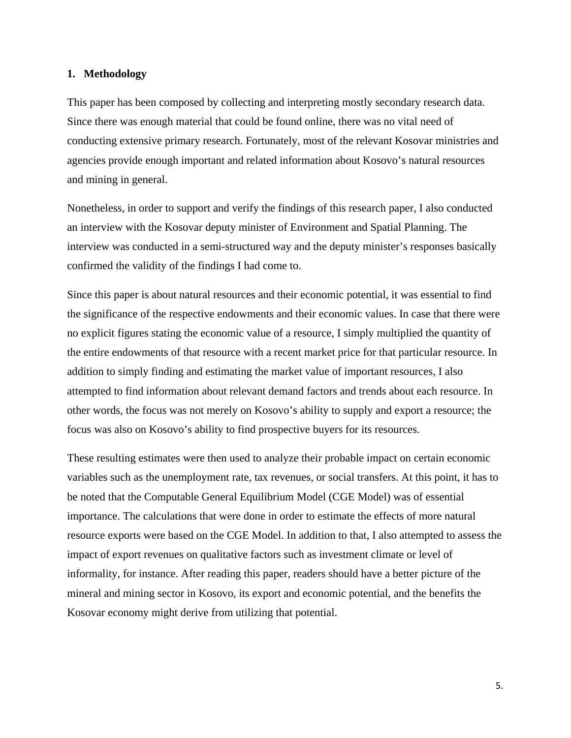## **1. Methodology**

This paper has been composed by collecting and interpreting mostly secondary research data. Since there was enough material that could be found online, there was no vital need of conducting extensive primary research. Fortunately, most of the relevant Kosovar ministries and agencies provide enough important and related information about Kosovo's natural resources and mining in general.

Nonetheless, in order to support and verify the findings of this research paper, I also conducted an interview with the Kosovar deputy minister of Environment and Spatial Planning. The interview was conducted in a semi-structured way and the deputy minister's responses basically confirmed the validity of the findings I had come to.

Since this paper is about natural resources and their economic potential, it was essential to find the significance of the respective endowments and their economic values. In case that there were no explicit figures stating the economic value of a resource, I simply multiplied the quantity of the entire endowments of that resource with a recent market price for that particular resource. In addition to simply finding and estimating the market value of important resources, I also attempted to find information about relevant demand factors and trends about each resource. In other words, the focus was not merely on Kosovo's ability to supply and export a resource; the focus was also on Kosovo's ability to find prospective buyers for its resources.

These resulting estimates were then used to analyze their probable impact on certain economic variables such as the unemployment rate, tax revenues, or social transfers. At this point, it has to be noted that the Computable General Equilibrium Model (CGE Model) was of essential importance. The calculations that were done in order to estimate the effects of more natural resource exports were based on the CGE Model. In addition to that, I also attempted to assess the impact of export revenues on qualitative factors such as investment climate or level of informality, for instance. After reading this paper, readers should have a better picture of the mineral and mining sector in Kosovo, its export and economic potential, and the benefits the Kosovar economy might derive from utilizing that potential.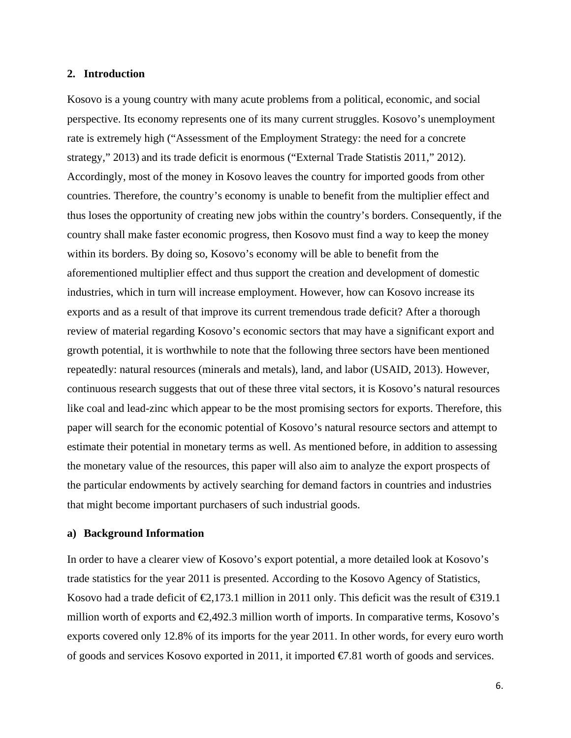## **2. Introduction**

Kosovo is a young country with many acute problems from a political, economic, and social perspective. Its economy represents one of its many current struggles. Kosovo's unemployment rate is extremely high ("Assessment of the Employment Strategy: the need for a concrete strategy," 2013) and its trade deficit is enormous ("External Trade Statistis 2011," 2012). Accordingly, most of the money in Kosovo leaves the country for imported goods from other countries. Therefore, the country's economy is unable to benefit from the multiplier effect and thus loses the opportunity of creating new jobs within the country's borders. Consequently, if the country shall make faster economic progress, then Kosovo must find a way to keep the money within its borders. By doing so, Kosovo's economy will be able to benefit from the aforementioned multiplier effect and thus support the creation and development of domestic industries, which in turn will increase employment. However, how can Kosovo increase its exports and as a result of that improve its current tremendous trade deficit? After a thorough review of material regarding Kosovo's economic sectors that may have a significant export and growth potential, it is worthwhile to note that the following three sectors have been mentioned repeatedly: natural resources (minerals and metals), land, and labor (USAID, 2013). However, continuous research suggests that out of these three vital sectors, it is Kosovo's natural resources like coal and lead-zinc which appear to be the most promising sectors for exports. Therefore, this paper will search for the economic potential of Kosovo's natural resource sectors and attempt to estimate their potential in monetary terms as well. As mentioned before, in addition to assessing the monetary value of the resources, this paper will also aim to analyze the export prospects of the particular endowments by actively searching for demand factors in countries and industries that might become important purchasers of such industrial goods.

## **a) Background Information**

In order to have a clearer view of Kosovo's export potential, a more detailed look at Kosovo's trade statistics for the year 2011 is presented. According to the Kosovo Agency of Statistics, Kosovo had a trade deficit of  $\epsilon$ ,173.1 million in 2011 only. This deficit was the result of  $\epsilon$ 319.1 million worth of exports and €2,492.3 million worth of imports. In comparative terms, Kosovo's exports covered only 12.8% of its imports for the year 2011. In other words, for every euro worth of goods and services Kosovo exported in 2011, it imported €7.81 worth of goods and services.

6.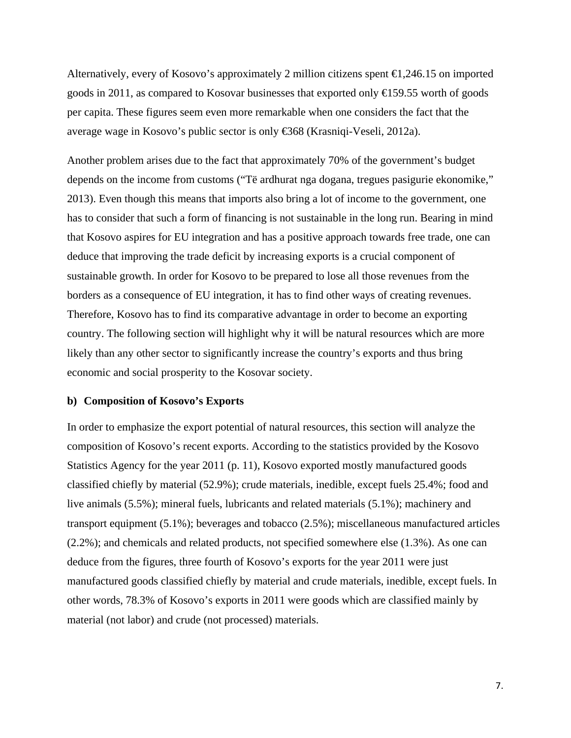Alternatively, every of Kosovo's approximately 2 million citizens spent  $\epsilon$ 1,246.15 on imported goods in 2011, as compared to Kosovar businesses that exported only  $\bigoplus$  59.55 worth of goods per capita. These figures seem even more remarkable when one considers the fact that the average wage in Kosovo's public sector is only €368 (Krasniqi-Veseli, 2012a).

Another problem arises due to the fact that approximately 70% of the government's budget depends on the income from customs ("Të ardhurat nga dogana, tregues pasigurie ekonomike," 2013). Even though this means that imports also bring a lot of income to the government, one has to consider that such a form of financing is not sustainable in the long run. Bearing in mind that Kosovo aspires for EU integration and has a positive approach towards free trade, one can deduce that improving the trade deficit by increasing exports is a crucial component of sustainable growth. In order for Kosovo to be prepared to lose all those revenues from the borders as a consequence of EU integration, it has to find other ways of creating revenues. Therefore, Kosovo has to find its comparative advantage in order to become an exporting country. The following section will highlight why it will be natural resources which are more likely than any other sector to significantly increase the country's exports and thus bring economic and social prosperity to the Kosovar society.

## **b) Composition of Kosovo's Exports**

In order to emphasize the export potential of natural resources, this section will analyze the composition of Kosovo's recent exports. According to the statistics provided by the Kosovo Statistics Agency for the year 2011 (p. 11), Kosovo exported mostly manufactured goods classified chiefly by material (52.9%); crude materials, inedible, except fuels 25.4%; food and live animals (5.5%); mineral fuels, lubricants and related materials (5.1%); machinery and transport equipment (5.1%); beverages and tobacco (2.5%); miscellaneous manufactured articles (2.2%); and chemicals and related products, not specified somewhere else (1.3%). As one can deduce from the figures, three fourth of Kosovo's exports for the year 2011 were just manufactured goods classified chiefly by material and crude materials, inedible, except fuels. In other words, 78.3% of Kosovo's exports in 2011 were goods which are classified mainly by material (not labor) and crude (not processed) materials.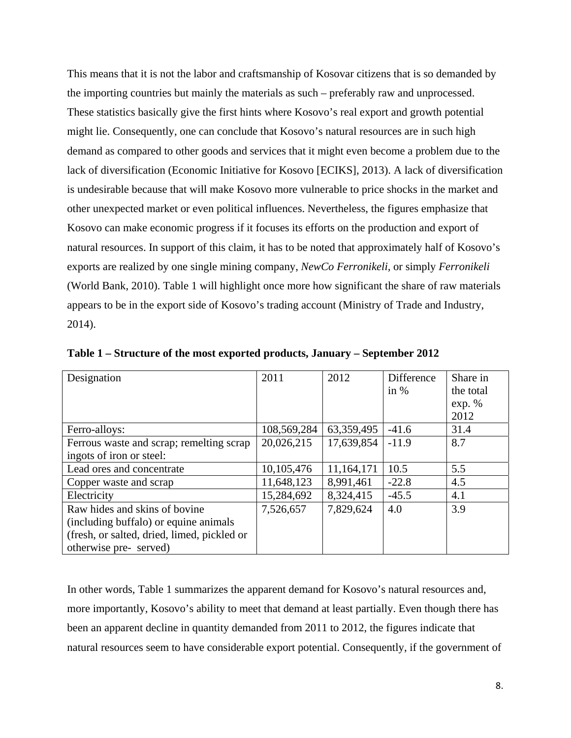This means that it is not the labor and craftsmanship of Kosovar citizens that is so demanded by the importing countries but mainly the materials as such – preferably raw and unprocessed. These statistics basically give the first hints where Kosovo's real export and growth potential might lie. Consequently, one can conclude that Kosovo's natural resources are in such high demand as compared to other goods and services that it might even become a problem due to the lack of diversification (Economic Initiative for Kosovo [ECIKS], 2013). A lack of diversification is undesirable because that will make Kosovo more vulnerable to price shocks in the market and other unexpected market or even political influences. Nevertheless, the figures emphasize that Kosovo can make economic progress if it focuses its efforts on the production and export of natural resources. In support of this claim, it has to be noted that approximately half of Kosovo's exports are realized by one single mining company, *NewCo Ferronikeli,* or simply *Ferronikeli* (World Bank, 2010). Table 1 will highlight once more how significant the share of raw materials appears to be in the export side of Kosovo's trading account (Ministry of Trade and Industry, 2014).

| Designation                                 | 2011        | 2012       | Difference | Share in  |
|---------------------------------------------|-------------|------------|------------|-----------|
|                                             |             |            | in $%$     | the total |
|                                             |             |            |            | exp. %    |
|                                             |             |            |            | 2012      |
| Ferro-alloys:                               | 108,569,284 | 63,359,495 | $-41.6$    | 31.4      |
| Ferrous waste and scrap; remelting scrap    | 20,026,215  | 17,639,854 | $-11.9$    | 8.7       |
| ingots of iron or steel:                    |             |            |            |           |
| Lead ores and concentrate                   | 10,105,476  | 11,164,171 | 10.5       | 5.5       |
| Copper waste and scrap                      | 11,648,123  | 8,991,461  | $-22.8$    | 4.5       |
| Electricity                                 | 15,284,692  | 8,324,415  | $-45.5$    | 4.1       |
| Raw hides and skins of bovine               | 7,526,657   | 7,829,624  | 4.0        | 3.9       |
| (including buffalo) or equine animals       |             |            |            |           |
| (fresh, or salted, dried, limed, pickled or |             |            |            |           |
| otherwise pre- served)                      |             |            |            |           |

**Table 1 – Structure of the most exported products, January – September 2012** 

In other words, Table 1 summarizes the apparent demand for Kosovo's natural resources and, more importantly, Kosovo's ability to meet that demand at least partially. Even though there has been an apparent decline in quantity demanded from 2011 to 2012, the figures indicate that natural resources seem to have considerable export potential. Consequently, if the government of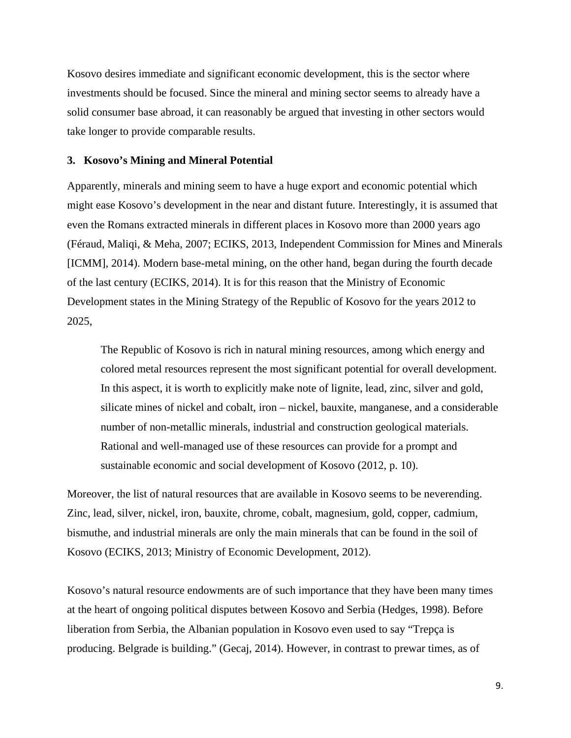Kosovo desires immediate and significant economic development, this is the sector where investments should be focused. Since the mineral and mining sector seems to already have a solid consumer base abroad, it can reasonably be argued that investing in other sectors would take longer to provide comparable results.

## **3. Kosovo's Mining and Mineral Potential**

Apparently, minerals and mining seem to have a huge export and economic potential which might ease Kosovo's development in the near and distant future. Interestingly, it is assumed that even the Romans extracted minerals in different places in Kosovo more than 2000 years ago (Féraud, Maliqi, & Meha, 2007; ECIKS, 2013, Independent Commission for Mines and Minerals [ICMM], 2014). Modern base-metal mining, on the other hand, began during the fourth decade of the last century (ECIKS, 2014). It is for this reason that the Ministry of Economic Development states in the Mining Strategy of the Republic of Kosovo for the years 2012 to 2025,

The Republic of Kosovo is rich in natural mining resources, among which energy and colored metal resources represent the most significant potential for overall development. In this aspect, it is worth to explicitly make note of lignite, lead, zinc, silver and gold, silicate mines of nickel and cobalt, iron – nickel, bauxite, manganese, and a considerable number of non-metallic minerals, industrial and construction geological materials. Rational and well-managed use of these resources can provide for a prompt and sustainable economic and social development of Kosovo (2012, p. 10).

Moreover, the list of natural resources that are available in Kosovo seems to be neverending. Zinc, lead, silver, nickel, iron, bauxite, chrome, cobalt, magnesium, gold, copper, cadmium, bismuthe, and industrial minerals are only the main minerals that can be found in the soil of Kosovo (ECIKS, 2013; Ministry of Economic Development, 2012).

Kosovo's natural resource endowments are of such importance that they have been many times at the heart of ongoing political disputes between Kosovo and Serbia (Hedges, 1998). Before liberation from Serbia, the Albanian population in Kosovo even used to say "Trepça is producing. Belgrade is building." (Gecaj, 2014). However, in contrast to prewar times, as of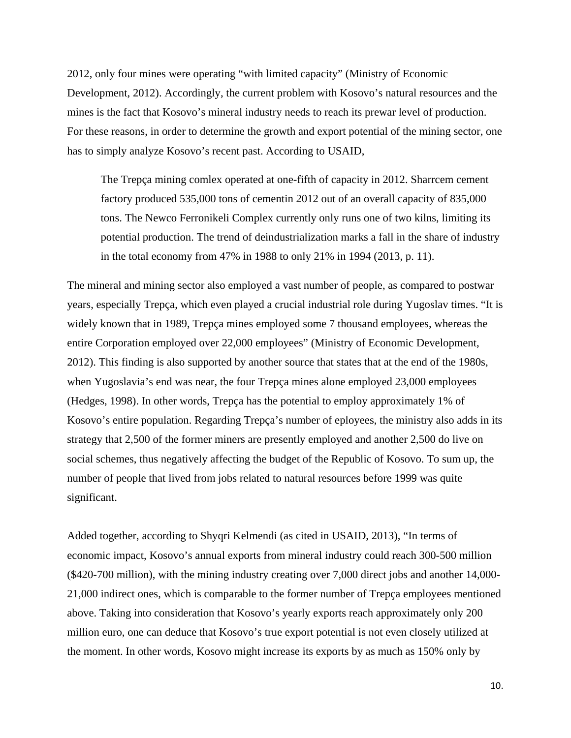2012, only four mines were operating "with limited capacity" (Ministry of Economic Development, 2012). Accordingly, the current problem with Kosovo's natural resources and the mines is the fact that Kosovo's mineral industry needs to reach its prewar level of production. For these reasons, in order to determine the growth and export potential of the mining sector, one has to simply analyze Kosovo's recent past. According to USAID,

The Trepça mining comlex operated at one-fifth of capacity in 2012. Sharrcem cement factory produced 535,000 tons of cementin 2012 out of an overall capacity of 835,000 tons. The Newco Ferronikeli Complex currently only runs one of two kilns, limiting its potential production. The trend of deindustrialization marks a fall in the share of industry in the total economy from 47% in 1988 to only 21% in 1994 (2013, p. 11).

The mineral and mining sector also employed a vast number of people, as compared to postwar years, especially Trepça, which even played a crucial industrial role during Yugoslav times. "It is widely known that in 1989, Trepça mines employed some 7 thousand employees, whereas the entire Corporation employed over 22,000 employees" (Ministry of Economic Development, 2012). This finding is also supported by another source that states that at the end of the 1980s, when Yugoslavia's end was near, the four Trepça mines alone employed 23,000 employees (Hedges, 1998). In other words, Trepça has the potential to employ approximately 1% of Kosovo's entire population. Regarding Trepça's number of eployees, the ministry also adds in its strategy that 2,500 of the former miners are presently employed and another 2,500 do live on social schemes, thus negatively affecting the budget of the Republic of Kosovo. To sum up, the number of people that lived from jobs related to natural resources before 1999 was quite significant.

Added together, according to Shyqri Kelmendi (as cited in USAID, 2013), "In terms of economic impact, Kosovo's annual exports from mineral industry could reach 300-500 million (\$420-700 million), with the mining industry creating over 7,000 direct jobs and another 14,000- 21,000 indirect ones, which is comparable to the former number of Trepça employees mentioned above. Taking into consideration that Kosovo's yearly exports reach approximately only 200 million euro, one can deduce that Kosovo's true export potential is not even closely utilized at the moment. In other words, Kosovo might increase its exports by as much as 150% only by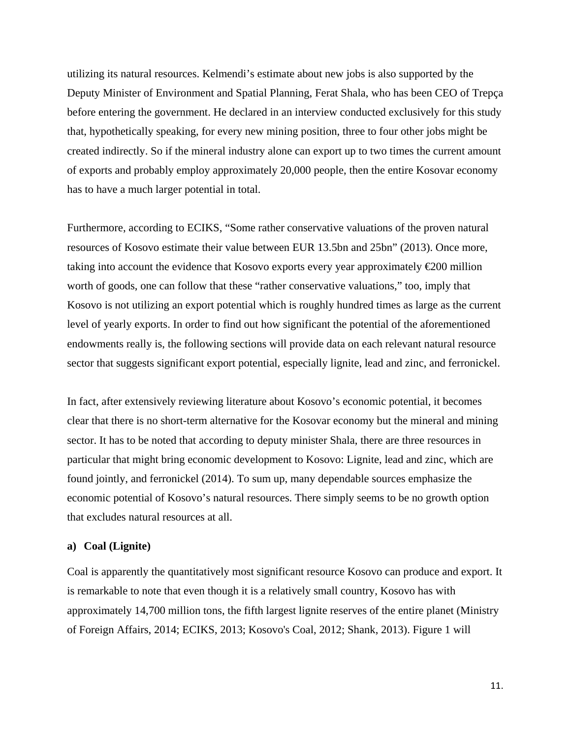utilizing its natural resources. Kelmendi's estimate about new jobs is also supported by the Deputy Minister of Environment and Spatial Planning, Ferat Shala, who has been CEO of Trepça before entering the government. He declared in an interview conducted exclusively for this study that, hypothetically speaking, for every new mining position, three to four other jobs might be created indirectly. So if the mineral industry alone can export up to two times the current amount of exports and probably employ approximately 20,000 people, then the entire Kosovar economy has to have a much larger potential in total.

Furthermore, according to ECIKS, "Some rather conservative valuations of the proven natural resources of Kosovo estimate their value between EUR 13.5bn and 25bn" (2013). Once more, taking into account the evidence that Kosovo exports every year approximately €200 million worth of goods, one can follow that these "rather conservative valuations," too, imply that Kosovo is not utilizing an export potential which is roughly hundred times as large as the current level of yearly exports. In order to find out how significant the potential of the aforementioned endowments really is, the following sections will provide data on each relevant natural resource sector that suggests significant export potential, especially lignite, lead and zinc, and ferronickel.

In fact, after extensively reviewing literature about Kosovo's economic potential, it becomes clear that there is no short-term alternative for the Kosovar economy but the mineral and mining sector. It has to be noted that according to deputy minister Shala, there are three resources in particular that might bring economic development to Kosovo: Lignite, lead and zinc, which are found jointly, and ferronickel (2014). To sum up, many dependable sources emphasize the economic potential of Kosovo's natural resources. There simply seems to be no growth option that excludes natural resources at all.

## **a) Coal (Lignite)**

Coal is apparently the quantitatively most significant resource Kosovo can produce and export. It is remarkable to note that even though it is a relatively small country, Kosovo has with approximately 14,700 million tons, the fifth largest lignite reserves of the entire planet (Ministry of Foreign Affairs, 2014; ECIKS, 2013; Kosovo's Coal, 2012; Shank, 2013). Figure 1 will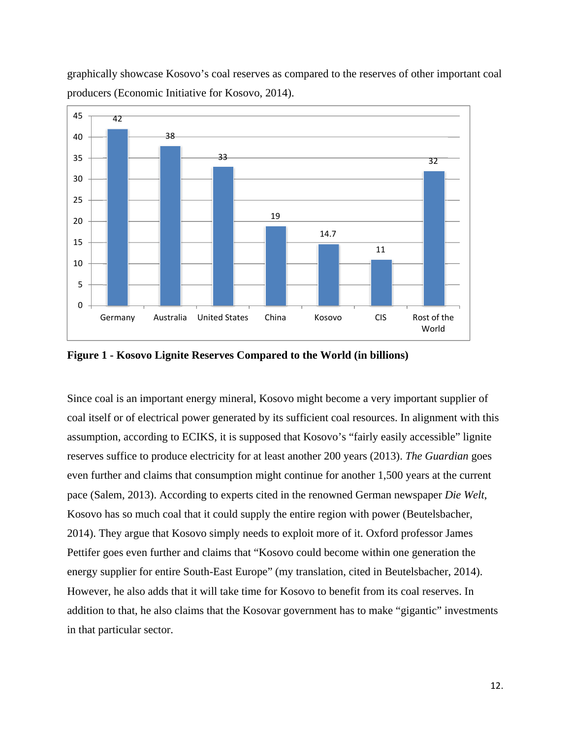



**Figure 1 - Kosovo Lignite Reserves Compared to the World (in billions)** 

Since coal is an important energy mineral, Kosovo might become a very important supplier of coal itself or of electrical power generated by its sufficient coal resources. In alignment with this assumption, according to ECIKS, it is supposed that Kosovo's "fairly easily accessible" lignite reserves suffice to produce electricity for at least another 200 years (2013). *The Guardian* goes even further and claims that consumption might continue for another 1,500 years at the current pace (Salem, 2013). According to experts cited in the renowned German newspaper *Die Welt*, Kosovo has so much coal that it could supply the entire region with power (Beutelsbacher, 2014). They argue that Kosovo simply needs to exploit more of it. Oxford professor James Pettifer goes even further and claims that "Kosovo could become within one generation the energy supplier for entire South-East Europe" (my translation, cited in Beutelsbacher, 2014). However, he also adds that it will take time for Kosovo to benefit from its coal reserves. In addition to that, he also claims that the Kosovar government has to make "gigantic" investments in that particular sector.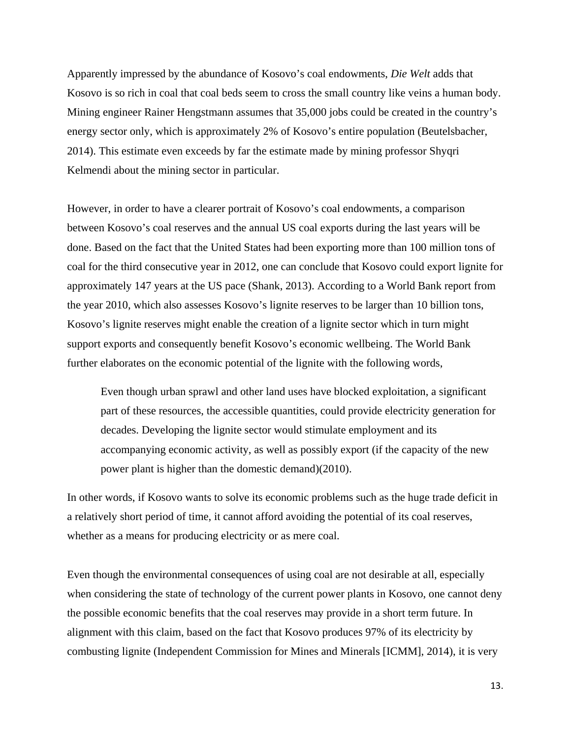Apparently impressed by the abundance of Kosovo's coal endowments, *Die Welt* adds that Kosovo is so rich in coal that coal beds seem to cross the small country like veins a human body. Mining engineer Rainer Hengstmann assumes that 35,000 jobs could be created in the country's energy sector only, which is approximately 2% of Kosovo's entire population (Beutelsbacher, 2014). This estimate even exceeds by far the estimate made by mining professor Shyqri Kelmendi about the mining sector in particular.

However, in order to have a clearer portrait of Kosovo's coal endowments, a comparison between Kosovo's coal reserves and the annual US coal exports during the last years will be done. Based on the fact that the United States had been exporting more than 100 million tons of coal for the third consecutive year in 2012, one can conclude that Kosovo could export lignite for approximately 147 years at the US pace (Shank, 2013). According to a World Bank report from the year 2010, which also assesses Kosovo's lignite reserves to be larger than 10 billion tons, Kosovo's lignite reserves might enable the creation of a lignite sector which in turn might support exports and consequently benefit Kosovo's economic wellbeing. The World Bank further elaborates on the economic potential of the lignite with the following words,

Even though urban sprawl and other land uses have blocked exploitation, a significant part of these resources, the accessible quantities, could provide electricity generation for decades. Developing the lignite sector would stimulate employment and its accompanying economic activity, as well as possibly export (if the capacity of the new power plant is higher than the domestic demand)(2010).

In other words, if Kosovo wants to solve its economic problems such as the huge trade deficit in a relatively short period of time, it cannot afford avoiding the potential of its coal reserves, whether as a means for producing electricity or as mere coal.

Even though the environmental consequences of using coal are not desirable at all, especially when considering the state of technology of the current power plants in Kosovo, one cannot deny the possible economic benefits that the coal reserves may provide in a short term future. In alignment with this claim, based on the fact that Kosovo produces 97% of its electricity by combusting lignite (Independent Commission for Mines and Minerals [ICMM], 2014), it is very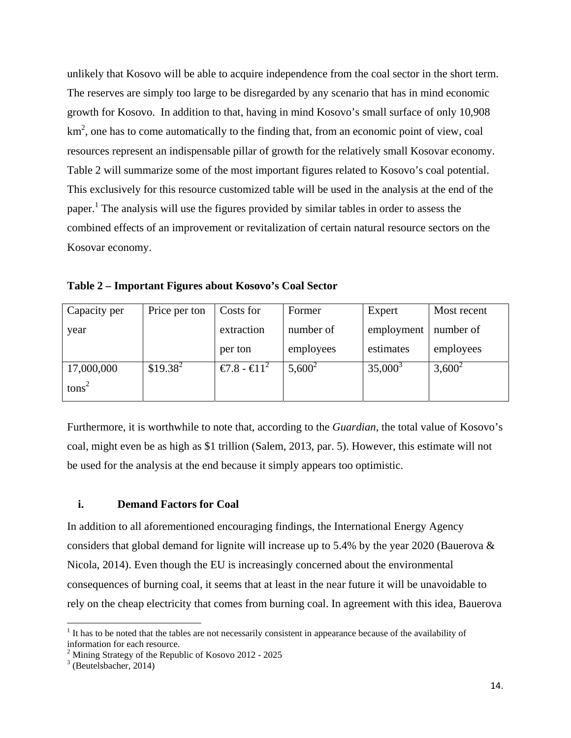unlikely that Kosovo will be able to acquire independence from the coal sector in the short term. The reserves are simply too large to be disregarded by any scenario that has in mind economic growth for Kosovo. In addition to that, having in mind Kosovo's small surface of only 10,908  $km<sup>2</sup>$ , one has to come automatically to the finding that, from an economic point of view, coal resources represent an indispensable pillar of growth for the relatively small Kosovar economy. Table 2 will summarize some of the most important figures related to Kosovo's coal potential. This exclusively for this resource customized table will be used in the analysis at the end of the paper.<sup>1</sup> The analysis will use the figures provided by similar tables in order to assess the combined effects of an improvement or revitalization of certain natural resource sectors on the Kosovar economy.

| Capacity per      | Price per ton | Costs for                           | Former    | Expert     | Most recent |
|-------------------|---------------|-------------------------------------|-----------|------------|-------------|
| year              |               | extraction                          | number of | employment | number of   |
|                   |               | per ton                             | employees | estimates  | employees   |
| 17,000,000        | $$19.38^2$    | $\mathcal{L}$ .8 - $\mathcal{L}1^2$ | $5,600^2$ | $35,000^3$ | $3,600^2$   |
| tons <sup>2</sup> |               |                                     |           |            |             |

**Table 2 – Important Figures about Kosovo's Coal Sector** 

Furthermore, it is worthwhile to note that, according to the *Guardian*, the total value of Kosovo's coal, might even be as high as \$1 trillion (Salem, 2013, par. 5). However, this estimate will not be used for the analysis at the end because it simply appears too optimistic.

## **i. Demand Factors for Coal**

In addition to all aforementioned encouraging findings, the International Energy Agency considers that global demand for lignite will increase up to 5.4% by the year 2020 (Bauerova  $\&$ Nicola, 2014). Even though the EU is increasingly concerned about the environmental consequences of burning coal, it seems that at least in the near future it will be unavoidable to rely on the cheap electricity that comes from burning coal. In agreement with this idea, Bauerova

 $<sup>1</sup>$  It has to be noted that the tables are not necessarily consistent in appearance because of the availability of</sup> information for each resource.

<sup>&</sup>lt;sup>2</sup> Mining Strategy of the Republic of Kosovo 2012 - 2025

 $3$  (Beutelsbacher, 2014)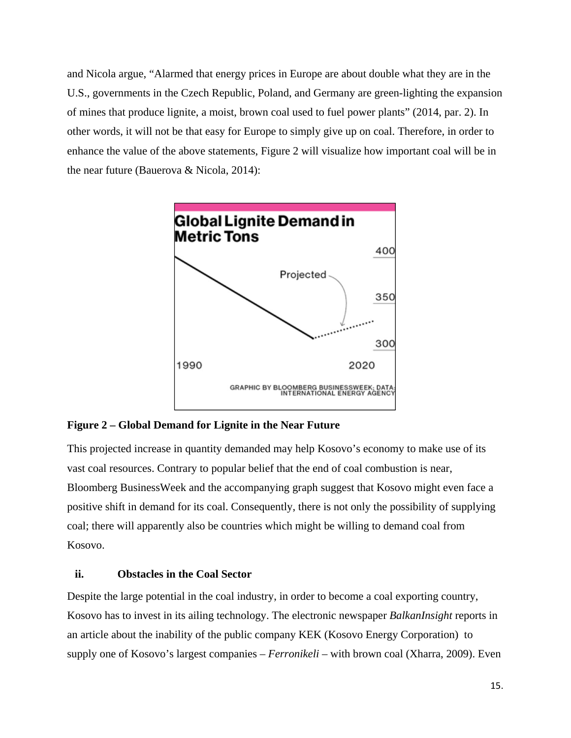and Nicola argue, "Alarmed that energy prices in Europe are about double what they are in the U.S., governments in the Czech Republic, Poland, and Germany are green-lighting the expansion of mines that produce lignite, a moist, brown coal used to fuel power plants" (2014, par. 2). In other words, it will not be that easy for Europe to simply give up on coal. Therefore, in order to enhance the value of the above statements, Figure 2 will visualize how important coal will be in the near future (Bauerova & Nicola, 2014):



## **Figure 2 – Global Demand for Lignite in the Near Future**

This projected increase in quantity demanded may help Kosovo's economy to make use of its vast coal resources. Contrary to popular belief that the end of coal combustion is near, Bloomberg BusinessWeek and the accompanying graph suggest that Kosovo might even face a positive shift in demand for its coal. Consequently, there is not only the possibility of supplying coal; there will apparently also be countries which might be willing to demand coal from Kosovo.

## **ii. Obstacles in the Coal Sector**

Despite the large potential in the coal industry, in order to become a coal exporting country, Kosovo has to invest in its ailing technology. The electronic newspaper *BalkanInsight* reports in an article about the inability of the public company KEK (Kosovo Energy Corporation) to supply one of Kosovo's largest companies – *Ferronikeli* – with brown coal (Xharra, 2009). Even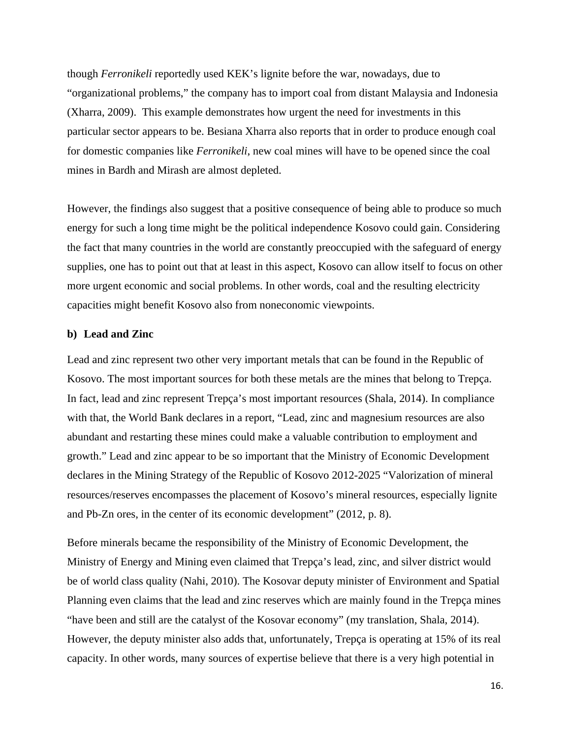though *Ferronikeli* reportedly used KEK's lignite before the war, nowadays, due to "organizational problems," the company has to import coal from distant Malaysia and Indonesia (Xharra, 2009). This example demonstrates how urgent the need for investments in this particular sector appears to be. Besiana Xharra also reports that in order to produce enough coal for domestic companies like *Ferronikeli*, new coal mines will have to be opened since the coal mines in Bardh and Mirash are almost depleted.

However, the findings also suggest that a positive consequence of being able to produce so much energy for such a long time might be the political independence Kosovo could gain. Considering the fact that many countries in the world are constantly preoccupied with the safeguard of energy supplies, one has to point out that at least in this aspect, Kosovo can allow itself to focus on other more urgent economic and social problems. In other words, coal and the resulting electricity capacities might benefit Kosovo also from noneconomic viewpoints.

## **b) Lead and Zinc**

Lead and zinc represent two other very important metals that can be found in the Republic of Kosovo. The most important sources for both these metals are the mines that belong to Trepça. In fact, lead and zinc represent Trepça's most important resources (Shala, 2014). In compliance with that, the World Bank declares in a report, "Lead, zinc and magnesium resources are also abundant and restarting these mines could make a valuable contribution to employment and growth." Lead and zinc appear to be so important that the Ministry of Economic Development declares in the Mining Strategy of the Republic of Kosovo 2012-2025 "Valorization of mineral resources/reserves encompasses the placement of Kosovo's mineral resources, especially lignite and Pb-Zn ores, in the center of its economic development" (2012, p. 8).

Before minerals became the responsibility of the Ministry of Economic Development, the Ministry of Energy and Mining even claimed that Trepça's lead, zinc, and silver district would be of world class quality (Nahi, 2010). The Kosovar deputy minister of Environment and Spatial Planning even claims that the lead and zinc reserves which are mainly found in the Trepça mines "have been and still are the catalyst of the Kosovar economy" (my translation, Shala, 2014). However, the deputy minister also adds that, unfortunately, Trepça is operating at 15% of its real capacity. In other words, many sources of expertise believe that there is a very high potential in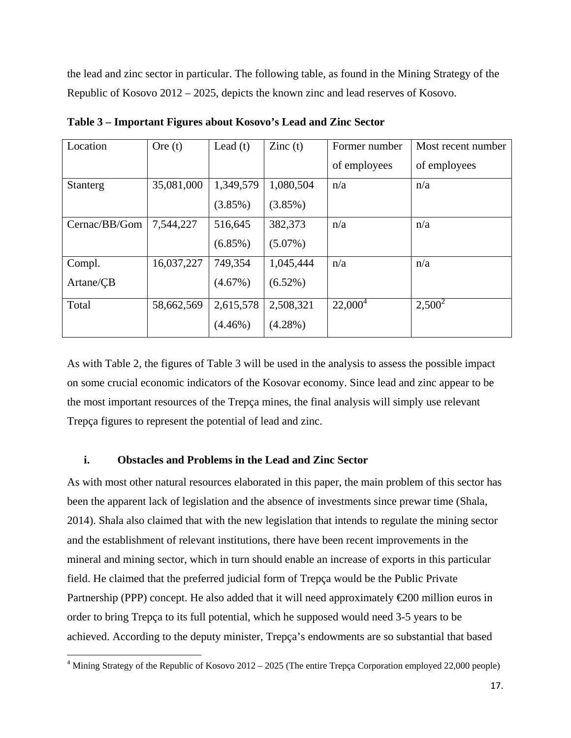the lead and zinc sector in particular. The following table, as found in the Mining Strategy of the Republic of Kosovo 2012 – 2025, depicts the known zinc and lead reserves of Kosovo.

| Location        | Ore $(t)$  | Lead $(t)$ | $\text{Zinc}(t)$ | Former number | Most recent number |
|-----------------|------------|------------|------------------|---------------|--------------------|
|                 |            |            |                  | of employees  | of employees       |
| <b>Stanterg</b> | 35,081,000 | 1,349,579  | 1,080,504        | n/a           | n/a                |
|                 |            | $(3.85\%)$ | $(3.85\%)$       |               |                    |
| Cernac/BB/Gom   | 7,544,227  | 516,645    | 382,373          | n/a           | n/a                |
|                 |            | $(6.85\%)$ | $(5.07\%)$       |               |                    |
| Compl.          | 16,037,227 | 749,354    | 1,045,444        | n/a           | n/a                |
| Artane/CB       |            | $(4.67\%)$ | $(6.52\%)$       |               |                    |
| Total           | 58,662,569 | 2,615,578  | 2,508,321        | $22,000^4$    | $2,500^2$          |
|                 |            | $(4.46\%)$ | $(4.28\%)$       |               |                    |

**Table 3 – Important Figures about Kosovo's Lead and Zinc Sector** 

As with Table 2, the figures of Table 3 will be used in the analysis to assess the possible impact on some crucial economic indicators of the Kosovar economy. Since lead and zinc appear to be the most important resources of the Trepça mines, the final analysis will simply use relevant Trepça figures to represent the potential of lead and zinc.

## **i. Obstacles and Problems in the Lead and Zinc Sector**

As with most other natural resources elaborated in this paper, the main problem of this sector has been the apparent lack of legislation and the absence of investments since prewar time (Shala, 2014). Shala also claimed that with the new legislation that intends to regulate the mining sector and the establishment of relevant institutions, there have been recent improvements in the mineral and mining sector, which in turn should enable an increase of exports in this particular field. He claimed that the preferred judicial form of Trepça would be the Public Private Partnership (PPP) concept. He also added that it will need approximately  $\epsilon$ 200 million euros in order to bring Trepça to its full potential, which he supposed would need 3-5 years to be achieved. According to the deputy minister, Trepça's endowments are so substantial that based

<sup>&</sup>lt;sup>4</sup> Mining Strategy of the Republic of Kosovo 2012 – 2025 (The entire Trepça Corporation employed 22,000 people)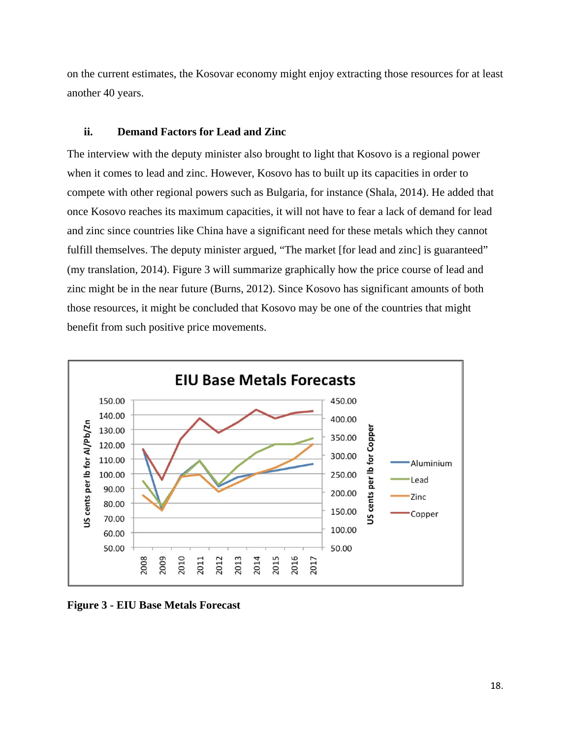on the current estimates, the Kosovar economy might enjoy extracting those resources for at least another 40 years.

## **ii. Demand Factors for Lead and Zinc**

The interview with the deputy minister also brought to light that Kosovo is a regional power when it comes to lead and zinc. However, Kosovo has to built up its capacities in order to compete with other regional powers such as Bulgaria, for instance (Shala, 2014). He added that once Kosovo reaches its maximum capacities, it will not have to fear a lack of demand for lead and zinc since countries like China have a significant need for these metals which they cannot fulfill themselves. The deputy minister argued, "The market [for lead and zinc] is guaranteed" (my translation, 2014). Figure 3 will summarize graphically how the price course of lead and zinc might be in the near future (Burns, 2012). Since Kosovo has significant amounts of both those resources, it might be concluded that Kosovo may be one of the countries that might benefit from such positive price movements.



**Figure 3 - EIU Base Metals Forecast**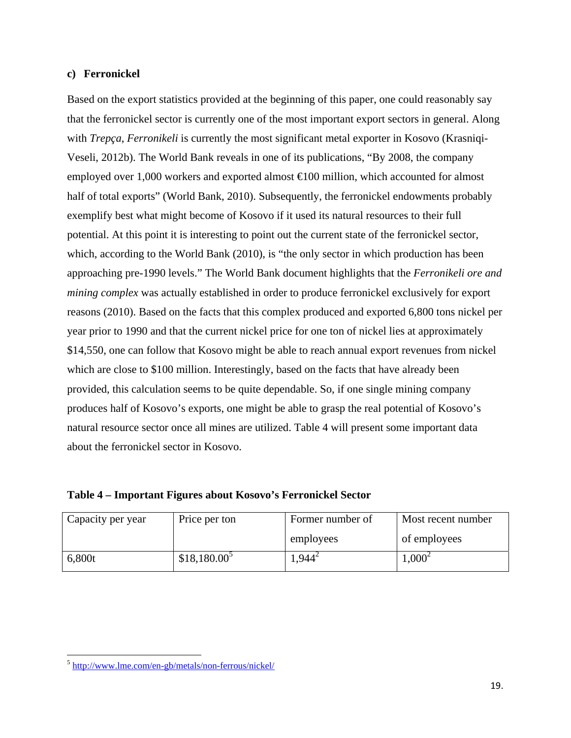## **c) Ferronickel**

Based on the export statistics provided at the beginning of this paper, one could reasonably say that the ferronickel sector is currently one of the most important export sectors in general. Along with *Trepça*, *Ferronikeli* is currently the most significant metal exporter in Kosovo (Krasniqi-Veseli, 2012b). The World Bank reveals in one of its publications, "By 2008, the company employed over 1,000 workers and exported almost  $\bigoplus$  00 million, which accounted for almost half of total exports" (World Bank, 2010). Subsequently, the ferronickel endowments probably exemplify best what might become of Kosovo if it used its natural resources to their full potential. At this point it is interesting to point out the current state of the ferronickel sector, which, according to the World Bank (2010), is "the only sector in which production has been approaching pre-1990 levels." The World Bank document highlights that the *Ferronikeli ore and mining complex* was actually established in order to produce ferronickel exclusively for export reasons (2010). Based on the facts that this complex produced and exported 6,800 tons nickel per year prior to 1990 and that the current nickel price for one ton of nickel lies at approximately \$14,550, one can follow that Kosovo might be able to reach annual export revenues from nickel which are close to \$100 million. Interestingly, based on the facts that have already been provided, this calculation seems to be quite dependable. So, if one single mining company produces half of Kosovo's exports, one might be able to grasp the real potential of Kosovo's natural resource sector once all mines are utilized. Table 4 will present some important data about the ferronickel sector in Kosovo.

| Capacity per year | Price per ton  | Former number of | Most recent number |
|-------------------|----------------|------------------|--------------------|
|                   |                | employees        | of employees       |
| 6.800t            | $$18.180.00^5$ | $.944^{\circ}$   | .000 <sup>2</sup>  |

| Table 4 – Important Figures about Kosovo's Ferronickel Sector |  |  |
|---------------------------------------------------------------|--|--|

<sup>5</sup> http://www.lme.com/en-gb/metals/non-ferrous/nickel/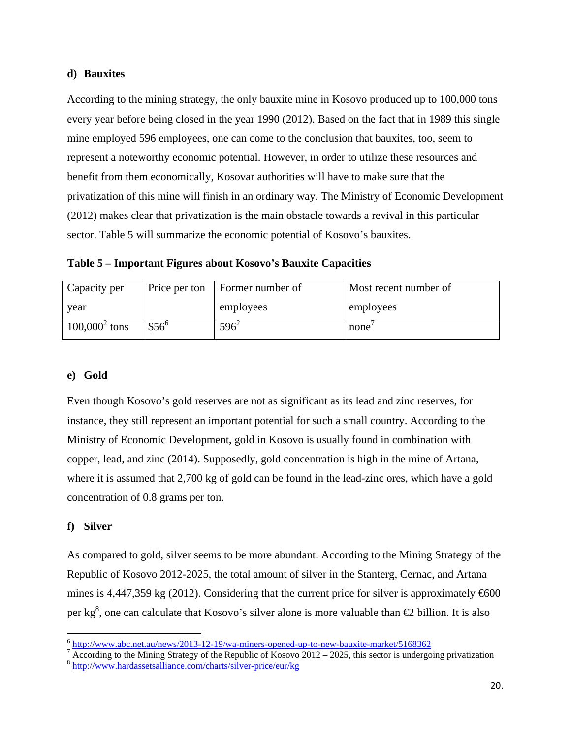## **d) Bauxites**

According to the mining strategy, the only bauxite mine in Kosovo produced up to 100,000 tons every year before being closed in the year 1990 (2012). Based on the fact that in 1989 this single mine employed 596 employees, one can come to the conclusion that bauxites, too, seem to represent a noteworthy economic potential. However, in order to utilize these resources and benefit from them economically, Kosovar authorities will have to make sure that the privatization of this mine will finish in an ordinary way. The Ministry of Economic Development (2012) makes clear that privatization is the main obstacle towards a revival in this particular sector. Table 5 will summarize the economic potential of Kosovo's bauxites.

**Table 5 – Important Figures about Kosovo's Bauxite Capacities** 

| Capacity per     | Price per ton | Former number of | Most recent number of |
|------------------|---------------|------------------|-----------------------|
| year             |               | employees        | employees             |
| $100,000^2$ tons | $$56^{\circ}$ | $596^2$          | none                  |

# **e) Gold**

Even though Kosovo's gold reserves are not as significant as its lead and zinc reserves, for instance, they still represent an important potential for such a small country. According to the Ministry of Economic Development, gold in Kosovo is usually found in combination with copper, lead, and zinc (2014). Supposedly, gold concentration is high in the mine of Artana, where it is assumed that 2,700 kg of gold can be found in the lead-zinc ores, which have a gold concentration of 0.8 grams per ton.

# **f) Silver**

As compared to gold, silver seems to be more abundant. According to the Mining Strategy of the Republic of Kosovo 2012-2025, the total amount of silver in the Stanterg, Cernac, and Artana mines is 4,447,359 kg (2012). Considering that the current price for silver is approximately  $\epsilon$ 600 per kg<sup>8</sup>, one can calculate that Kosovo's silver alone is more valuable than  $\epsilon$  billion. It is also

 $^6$  http://www.abc.net.au/news/2013-12-19/wa-miners-opened-up-to-new-bauxite-market/5168362<br> $^7$  According to the Mining Strategy of the Benublic of Kesovo 2012 - 2025, this sector is undergo

 $\sqrt{4}$  According to the Mining Strategy of the Republic of Kosovo 2012 – 2025, this sector is undergoing privatization

<sup>8</sup> http://www.hardassetsalliance.com/charts/silver-price/eur/kg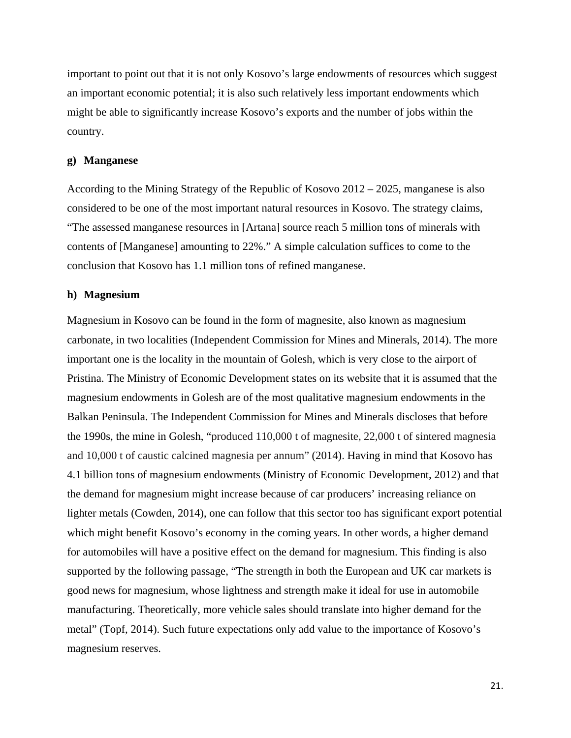important to point out that it is not only Kosovo's large endowments of resources which suggest an important economic potential; it is also such relatively less important endowments which might be able to significantly increase Kosovo's exports and the number of jobs within the country.

### **g) Manganese**

According to the Mining Strategy of the Republic of Kosovo 2012 – 2025, manganese is also considered to be one of the most important natural resources in Kosovo. The strategy claims, "The assessed manganese resources in [Artana] source reach 5 million tons of minerals with contents of [Manganese] amounting to 22%." A simple calculation suffices to come to the conclusion that Kosovo has 1.1 million tons of refined manganese.

#### **h) Magnesium**

Magnesium in Kosovo can be found in the form of magnesite, also known as magnesium carbonate, in two localities (Independent Commission for Mines and Minerals, 2014). The more important one is the locality in the mountain of Golesh, which is very close to the airport of Pristina. The Ministry of Economic Development states on its website that it is assumed that the magnesium endowments in Golesh are of the most qualitative magnesium endowments in the Balkan Peninsula. The Independent Commission for Mines and Minerals discloses that before the 1990s, the mine in Golesh, "produced 110,000 t of magnesite, 22,000 t of sintered magnesia and 10,000 t of caustic calcined magnesia per annum" (2014). Having in mind that Kosovo has 4.1 billion tons of magnesium endowments (Ministry of Economic Development, 2012) and that the demand for magnesium might increase because of car producers' increasing reliance on lighter metals (Cowden, 2014), one can follow that this sector too has significant export potential which might benefit Kosovo's economy in the coming years. In other words, a higher demand for automobiles will have a positive effect on the demand for magnesium. This finding is also supported by the following passage, "The strength in both the European and UK car markets is good news for magnesium, whose lightness and strength make it ideal for use in automobile manufacturing. Theoretically, more vehicle sales should translate into higher demand for the metal" (Topf, 2014). Such future expectations only add value to the importance of Kosovo's magnesium reserves.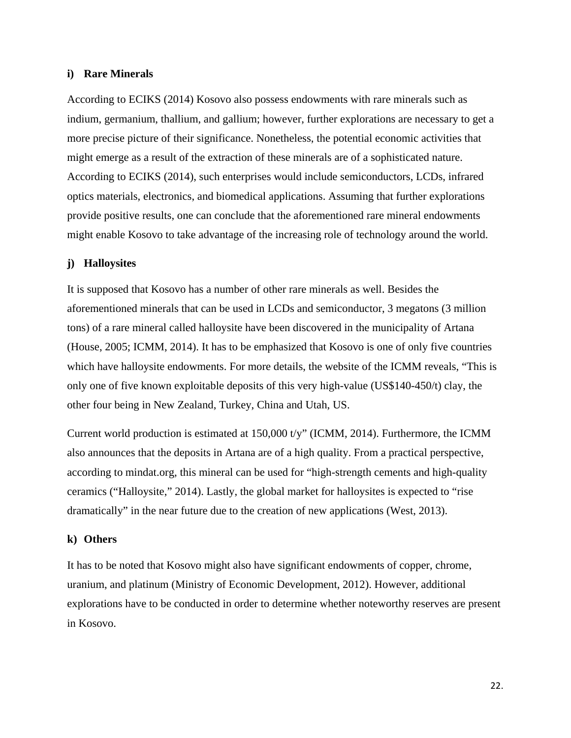## **i) Rare Minerals**

According to ECIKS (2014) Kosovo also possess endowments with rare minerals such as indium, germanium, thallium, and gallium; however, further explorations are necessary to get a more precise picture of their significance. Nonetheless, the potential economic activities that might emerge as a result of the extraction of these minerals are of a sophisticated nature. According to ECIKS (2014), such enterprises would include semiconductors, LCDs, infrared optics materials, electronics, and biomedical applications. Assuming that further explorations provide positive results, one can conclude that the aforementioned rare mineral endowments might enable Kosovo to take advantage of the increasing role of technology around the world.

## **j) Halloysites**

It is supposed that Kosovo has a number of other rare minerals as well. Besides the aforementioned minerals that can be used in LCDs and semiconductor, 3 megatons (3 million tons) of a rare mineral called halloysite have been discovered in the municipality of Artana (House, 2005; ICMM, 2014). It has to be emphasized that Kosovo is one of only five countries which have halloysite endowments. For more details, the website of the ICMM reveals, "This is only one of five known exploitable deposits of this very high-value (US\$140-450/t) clay, the other four being in New Zealand, Turkey, China and Utah, US.

Current world production is estimated at 150,000 t/y" (ICMM, 2014). Furthermore, the ICMM also announces that the deposits in Artana are of a high quality. From a practical perspective, according to mindat.org, this mineral can be used for "high-strength cements and high-quality ceramics ("Halloysite," 2014). Lastly, the global market for halloysites is expected to "rise dramatically" in the near future due to the creation of new applications (West, 2013).

### **k) Others**

It has to be noted that Kosovo might also have significant endowments of copper, chrome, uranium, and platinum (Ministry of Economic Development, 2012). However, additional explorations have to be conducted in order to determine whether noteworthy reserves are present in Kosovo.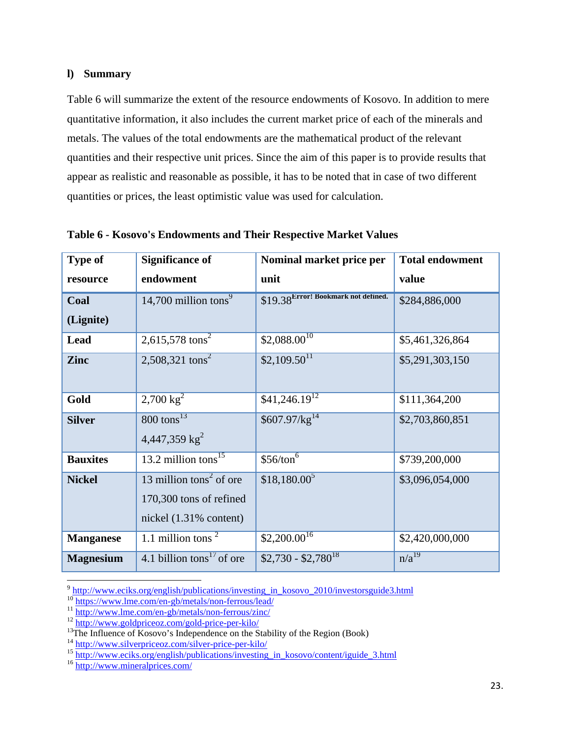## **l) Summary**

Table 6 will summarize the extent of the resource endowments of Kosovo. In addition to mere quantitative information, it also includes the current market price of each of the minerals and metals. The values of the total endowments are the mathematical product of the relevant quantities and their respective unit prices. Since the aim of this paper is to provide results that appear as realistic and reasonable as possible, it has to be noted that in case of two different quantities or prices, the least optimistic value was used for calculation.

| <b>Type of</b>   | <b>Significance of</b>                | Nominal market price per             | <b>Total endowment</b> |
|------------------|---------------------------------------|--------------------------------------|------------------------|
| resource         | endowment                             | unit                                 | value                  |
| Coal             | 14,700 million tons <sup>9</sup>      | \$19.38 Error! Bookmark not defined. | \$284,886,000          |
| (Lignite)        |                                       |                                      |                        |
| Lead             | 2,615,578 tons <sup>2</sup>           | $$2,088.00^{10}$                     | \$5,461,326,864        |
| <b>Zinc</b>      | 2,508,321 tons <sup>2</sup>           | $$2,109.50$ <sup>11</sup>            | \$5,291,303,150        |
| Gold             | $2,700 \text{ kg}^2$                  | $$41,246.19^{12}$                    | \$111,364,200          |
| <b>Silver</b>    | $800$ tons <sup>13</sup>              | \$607.97/kg <sup>14</sup>            | \$2,703,860,851        |
|                  | 4,447,359 $kg2$                       |                                      |                        |
| <b>Bauxites</b>  | 13.2 million tons $^{15}$             | \$56/ton <sup>6</sup>                | \$739,200,000          |
| <b>Nickel</b>    | 13 million tons <sup>2</sup> of ore   | $$18,180.00^5$                       | \$3,096,054,000        |
|                  | 170,300 tons of refined               |                                      |                        |
|                  | nickel $(1.31\%$ content)             |                                      |                        |
| <b>Manganese</b> | 1.1 million tons $2^{\circ}$          | $$2,200.\overline{00}^{16}$          | \$2,420,000,000        |
| <b>Magnesium</b> | 4.1 billion tons <sup>17</sup> of ore | $$2,730 - $2,780$ <sup>18</sup>      | $\overline{n/a^{19}}$  |

**Table 6 - Kosovo's Endowments and Their Respective Market Values** 

<sup>&</sup>lt;sup>9</sup> http://www.eciks.org/english/publications/investing\_in\_kosovo\_2010/investorsguide3.html<br><sup>10</sup> https://www.lme.com/en-gb/metals/non-ferrous/lead/<br><sup>11</sup> http://www.lme.com/en-gb/metals/non-ferrous/zinc/<br><sup>12</sup> http://www.gol

<sup>&</sup>lt;sup>14</sup> http://www.silverpriceoz.com/silver-price-per-kilo/<br><sup>15</sup> http://www.eciks.org/english/publications/investing\_in\_kosovo/content/iguide\_3.html<br><sup>16</sup> http://www.mineralprices.com/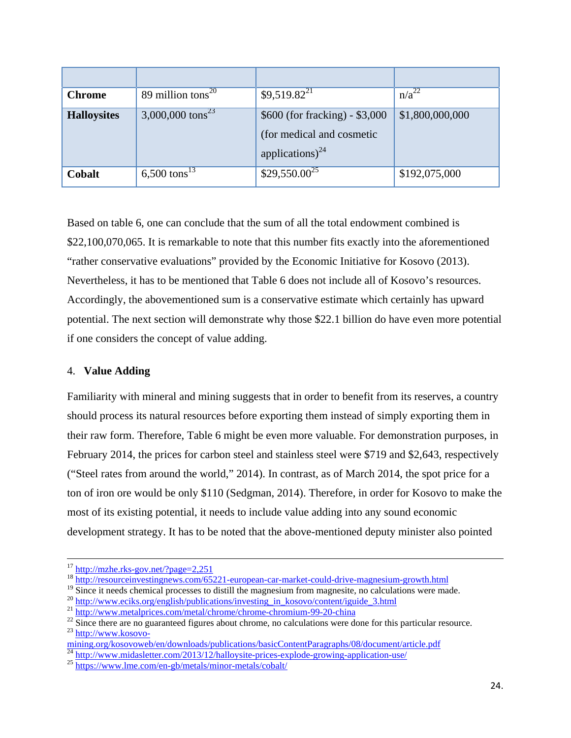| <b>Chrome</b>      | 89 million tons $^{20}$      | $$9,519.82^{21}$                                                                            | $n/a^{22}$      |
|--------------------|------------------------------|---------------------------------------------------------------------------------------------|-----------------|
| <b>Halloysites</b> | 3,000,000 tons <sup>23</sup> | $$600$ (for fracking) - \$3,000<br>(for medical and cosmetic<br>applications) <sup>24</sup> | \$1,800,000,000 |
| Cobalt             | 6,500 tons <sup>13</sup>     | $$29,550.00^{25}$                                                                           | \$192,075,000   |

Based on table 6, one can conclude that the sum of all the total endowment combined is \$22,100,070,065. It is remarkable to note that this number fits exactly into the aforementioned "rather conservative evaluations" provided by the Economic Initiative for Kosovo (2013). Nevertheless, it has to be mentioned that Table 6 does not include all of Kosovo's resources. Accordingly, the abovementioned sum is a conservative estimate which certainly has upward potential. The next section will demonstrate why those \$22.1 billion do have even more potential if one considers the concept of value adding.

## 4. **Value Adding**

Familiarity with mineral and mining suggests that in order to benefit from its reserves, a country should process its natural resources before exporting them instead of simply exporting them in their raw form. Therefore, Table 6 might be even more valuable. For demonstration purposes, in February 2014, the prices for carbon steel and stainless steel were \$719 and \$2,643, respectively ("Steel rates from around the world," 2014). In contrast, as of March 2014, the spot price for a ton of iron ore would be only \$110 (Sedgman, 2014). Therefore, in order for Kosovo to make the most of its existing potential, it needs to include value adding into any sound economic development strategy. It has to be noted that the above-mentioned deputy minister also pointed

<sup>&</sup>lt;sup>17</sup> http://mzhe.rks-gov.net/?page=2,251<br><sup>18</sup> http://resourceinvestingnews.com/65221-european-car-market-could-drive-magnesium-growth.html

<sup>&</sup>lt;sup>19</sup> Since it needs chemical processes to distill the magnesium from magnesite, no calculations were made.<br><sup>20</sup> http://www.eciks.org/english/publications/investing in kosovo/content/iguide 3.html

 $\frac{\frac{21}{100}}{\frac{http://www.metal prices.com/metal/chrome/chrome-chromium-99-20-china}{22}}$ <br>
Since there are no guaranteed figures about chrome, no calculations were done for this particular resource.<br>  $\frac{23 \text{ http://www.kosovo-}}{1000}$ 

mining.org/kosovoweb/en/downloads/publications/basicContentParagraphs/08/document/article.pdf

<sup>&</sup>lt;sup>24</sup> http://www.midasletter.com/2013/12/halloysite-prices-explode-growing-application-use/<br><sup>25</sup> https://www.lme.com/en-gb/metals/minor-metals/cobalt/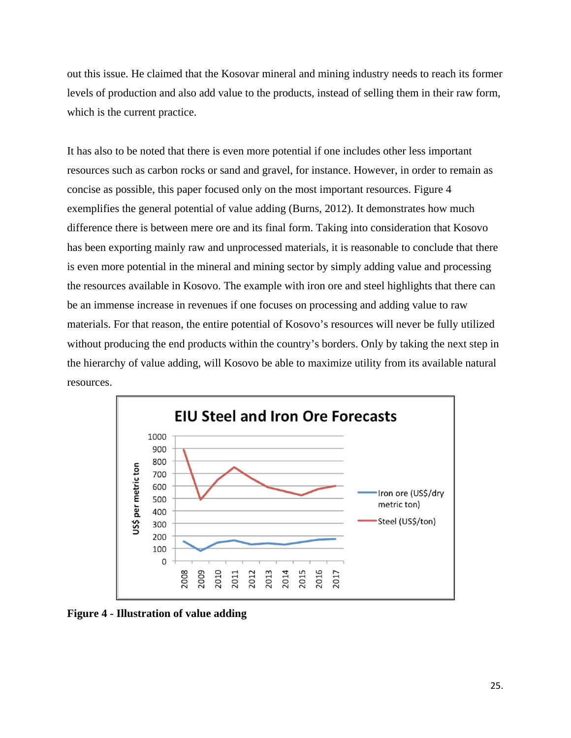out this issue. He claimed that the Kosovar mineral and mining industry needs to reach its former levels of production and also add value to the products, instead of selling them in their raw form, which is the current practice.

It has also to be noted that there is even more potential if one includes other less important resources such as carbon rocks or sand and gravel, for instance. However, in order to remain as concise as possible, this paper focused only on the most important resources. Figure 4 exemplifies the general potential of value adding (Burns, 2012). It demonstrates how much difference there is between mere ore and its final form. Taking into consideration that Kosovo has been exporting mainly raw and unprocessed materials, it is reasonable to conclude that there is even more potential in the mineral and mining sector by simply adding value and processing the resources available in Kosovo. The example with iron ore and steel highlights that there can be an immense increase in revenues if one focuses on processing and adding value to raw materials. For that reason, the entire potential of Kosovo's resources will never be fully utilized without producing the end products within the country's borders. Only by taking the next step in the hierarchy of value adding, will Kosovo be able to maximize utility from its available natural resources.



**Figure 4 - Illustration of value adding**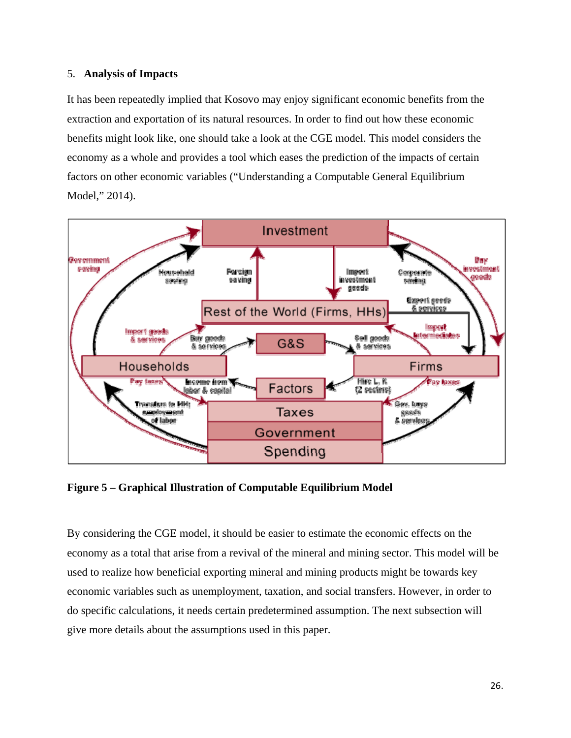## 5. **Analysis of Impacts**

It has been repeatedly implied that Kosovo may enjoy significant economic benefits from the extraction and exportation of its natural resources. In order to find out how these economic benefits might look like, one should take a look at the CGE model. This model considers the economy as a whole and provides a tool which eases the prediction of the impacts of certain factors on other economic variables ("Understanding a Computable General Equilibrium Model," 2014).



**Figure 5 – Graphical Illustration of Computable Equilibrium Model** 

By considering the CGE model, it should be easier to estimate the economic effects on the economy as a total that arise from a revival of the mineral and mining sector. This model will be used to realize how beneficial exporting mineral and mining products might be towards key economic variables such as unemployment, taxation, and social transfers. However, in order to do specific calculations, it needs certain predetermined assumption. The next subsection will give more details about the assumptions used in this paper.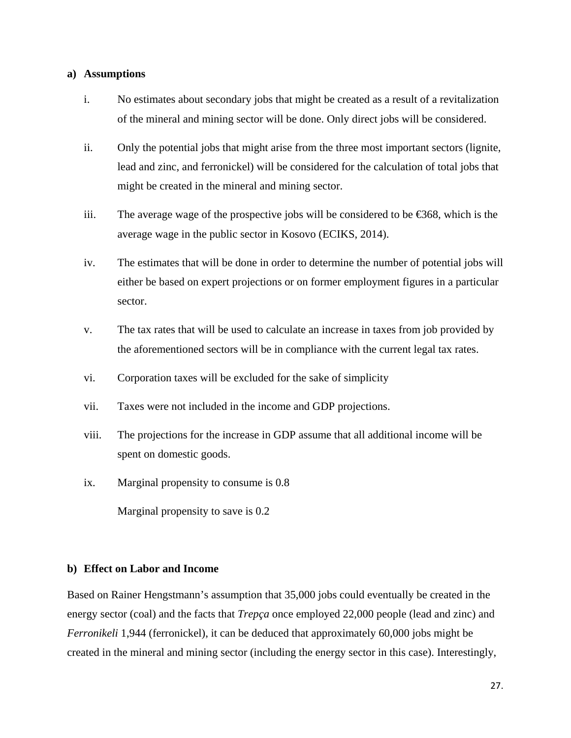## **a) Assumptions**

- i. No estimates about secondary jobs that might be created as a result of a revitalization of the mineral and mining sector will be done. Only direct jobs will be considered.
- ii. Only the potential jobs that might arise from the three most important sectors (lignite, lead and zinc, and ferronickel) will be considered for the calculation of total jobs that might be created in the mineral and mining sector.
- iii. The average wage of the prospective jobs will be considered to be  $\epsilon$ 68, which is the average wage in the public sector in Kosovo (ECIKS, 2014).
- iv. The estimates that will be done in order to determine the number of potential jobs will either be based on expert projections or on former employment figures in a particular sector.
- v. The tax rates that will be used to calculate an increase in taxes from job provided by the aforementioned sectors will be in compliance with the current legal tax rates.
- vi. Corporation taxes will be excluded for the sake of simplicity
- vii. Taxes were not included in the income and GDP projections.
- viii. The projections for the increase in GDP assume that all additional income will be spent on domestic goods.
- ix. Marginal propensity to consume is 0.8

Marginal propensity to save is 0.2

## **b) Effect on Labor and Income**

Based on Rainer Hengstmann's assumption that 35,000 jobs could eventually be created in the energy sector (coal) and the facts that *Trepça* once employed 22,000 people (lead and zinc) and *Ferronikeli* 1,944 (ferronickel), it can be deduced that approximately 60,000 jobs might be created in the mineral and mining sector (including the energy sector in this case). Interestingly,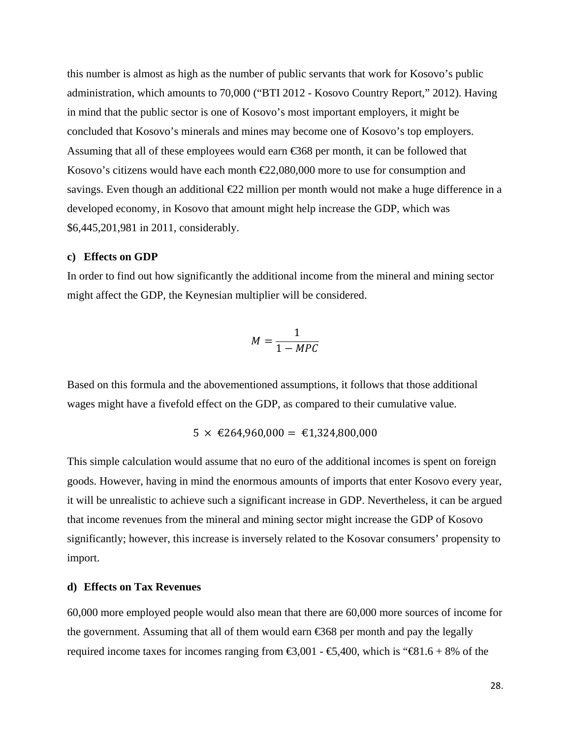this number is almost as high as the number of public servants that work for Kosovo's public administration, which amounts to 70,000 ("BTI 2012 - Kosovo Country Report," 2012). Having in mind that the public sector is one of Kosovo's most important employers, it might be concluded that Kosovo's minerals and mines may become one of Kosovo's top employers. Assuming that all of these employees would earn  $\epsilon$ 368 per month, it can be followed that Kosovo's citizens would have each month  $E2,080,000$  more to use for consumption and savings. Even though an additional  $E22$  million per month would not make a huge difference in a developed economy, in Kosovo that amount might help increase the GDP, which was \$6,445,201,981 in 2011, considerably.

## **c) Effects on GDP**

In order to find out how significantly the additional income from the mineral and mining sector might affect the GDP, the Keynesian multiplier will be considered.

$$
M = \frac{1}{1 - MPC}
$$

Based on this formula and the abovementioned assumptions, it follows that those additional wages might have a fivefold effect on the GDP, as compared to their cumulative value.

$$
5 \times \text{\textsterling}264,960,000 = \text{\textsterling}1,324,800,000
$$

This simple calculation would assume that no euro of the additional incomes is spent on foreign goods. However, having in mind the enormous amounts of imports that enter Kosovo every year, it will be unrealistic to achieve such a significant increase in GDP. Nevertheless, it can be argued that income revenues from the mineral and mining sector might increase the GDP of Kosovo significantly; however, this increase is inversely related to the Kosovar consumers' propensity to import.

## **d) Effects on Tax Revenues**

60,000 more employed people would also mean that there are 60,000 more sources of income for the government. Assuming that all of them would earn  $\epsilon$ 68 per month and pay the legally required income taxes for incomes ranging from  $\text{\textsterling}3,001 - \text{\textsterling}3,400$ , which is " $\text{\textsterling}81.6 + 8\%$  of the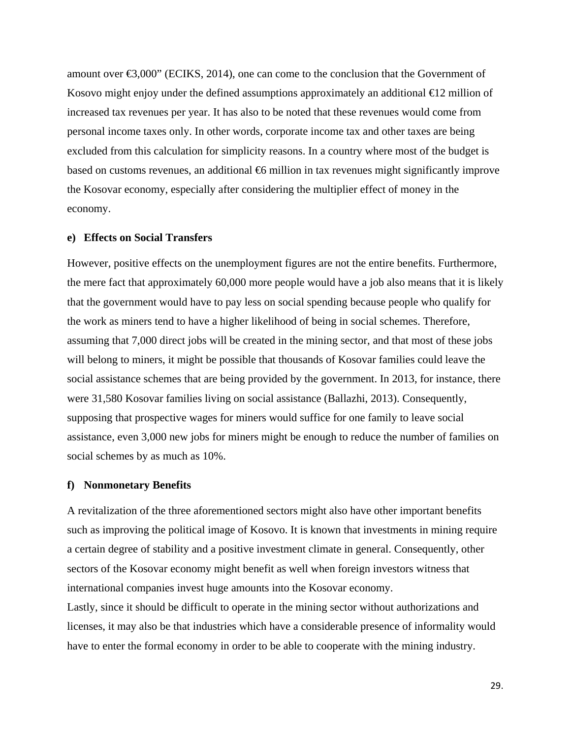amount over  $\epsilon$ 3,000" (ECIKS, 2014), one can come to the conclusion that the Government of Kosovo might enjoy under the defined assumptions approximately an additional  $\epsilon$  2 million of increased tax revenues per year. It has also to be noted that these revenues would come from personal income taxes only. In other words, corporate income tax and other taxes are being excluded from this calculation for simplicity reasons. In a country where most of the budget is based on customs revenues, an additional  $\bigoplus$  million in tax revenues might significantly improve the Kosovar economy, especially after considering the multiplier effect of money in the economy.

## **e) Effects on Social Transfers**

However, positive effects on the unemployment figures are not the entire benefits. Furthermore, the mere fact that approximately 60,000 more people would have a job also means that it is likely that the government would have to pay less on social spending because people who qualify for the work as miners tend to have a higher likelihood of being in social schemes. Therefore, assuming that 7,000 direct jobs will be created in the mining sector, and that most of these jobs will belong to miners, it might be possible that thousands of Kosovar families could leave the social assistance schemes that are being provided by the government. In 2013, for instance, there were 31,580 Kosovar families living on social assistance (Ballazhi, 2013). Consequently, supposing that prospective wages for miners would suffice for one family to leave social assistance, even 3,000 new jobs for miners might be enough to reduce the number of families on social schemes by as much as 10%.

#### **f) Nonmonetary Benefits**

A revitalization of the three aforementioned sectors might also have other important benefits such as improving the political image of Kosovo. It is known that investments in mining require a certain degree of stability and a positive investment climate in general. Consequently, other sectors of the Kosovar economy might benefit as well when foreign investors witness that international companies invest huge amounts into the Kosovar economy.

Lastly, since it should be difficult to operate in the mining sector without authorizations and licenses, it may also be that industries which have a considerable presence of informality would have to enter the formal economy in order to be able to cooperate with the mining industry.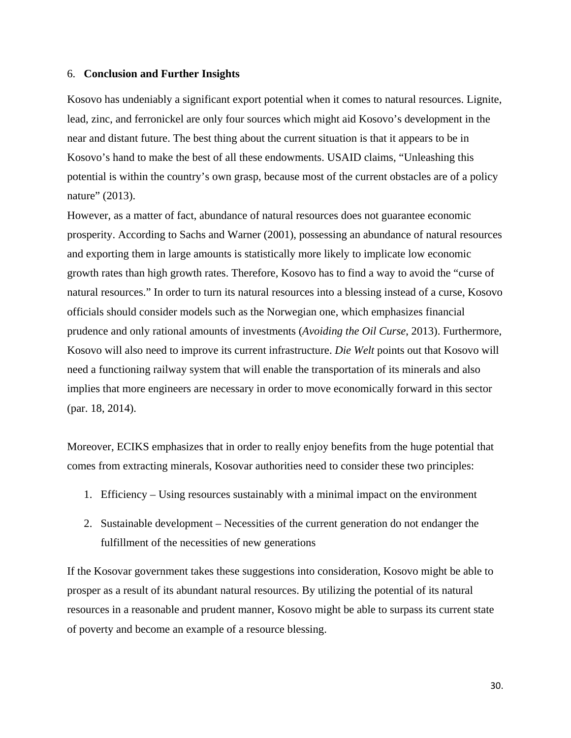#### 6. **Conclusion and Further Insights**

Kosovo has undeniably a significant export potential when it comes to natural resources. Lignite, lead, zinc, and ferronickel are only four sources which might aid Kosovo's development in the near and distant future. The best thing about the current situation is that it appears to be in Kosovo's hand to make the best of all these endowments. USAID claims, "Unleashing this potential is within the country's own grasp, because most of the current obstacles are of a policy nature" (2013).

However, as a matter of fact, abundance of natural resources does not guarantee economic prosperity. According to Sachs and Warner (2001), possessing an abundance of natural resources and exporting them in large amounts is statistically more likely to implicate low economic growth rates than high growth rates. Therefore, Kosovo has to find a way to avoid the "curse of natural resources." In order to turn its natural resources into a blessing instead of a curse, Kosovo officials should consider models such as the Norwegian one, which emphasizes financial prudence and only rational amounts of investments (*Avoiding the Oil Curse*, 2013). Furthermore, Kosovo will also need to improve its current infrastructure. *Die Welt* points out that Kosovo will need a functioning railway system that will enable the transportation of its minerals and also implies that more engineers are necessary in order to move economically forward in this sector (par. 18, 2014).

Moreover, ECIKS emphasizes that in order to really enjoy benefits from the huge potential that comes from extracting minerals, Kosovar authorities need to consider these two principles:

- 1. Efficiency Using resources sustainably with a minimal impact on the environment
- 2. Sustainable development Necessities of the current generation do not endanger the fulfillment of the necessities of new generations

If the Kosovar government takes these suggestions into consideration, Kosovo might be able to prosper as a result of its abundant natural resources. By utilizing the potential of its natural resources in a reasonable and prudent manner, Kosovo might be able to surpass its current state of poverty and become an example of a resource blessing.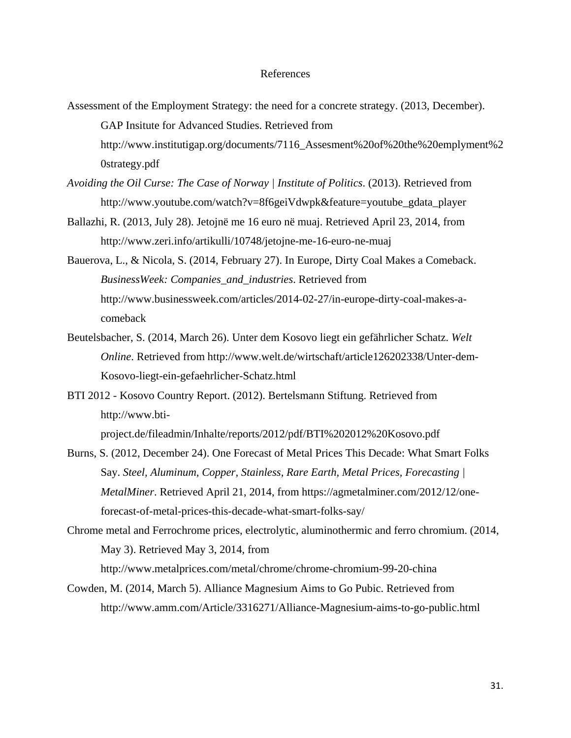## References

- Assessment of the Employment Strategy: the need for a concrete strategy. (2013, December). GAP Insitute for Advanced Studies. Retrieved from http://www.institutigap.org/documents/7116\_Assesment%20of%20the%20emplyment%2 0strategy.pdf
- *Avoiding the Oil Curse: The Case of Norway | Institute of Politics*. (2013). Retrieved from http://www.youtube.com/watch?v=8f6geiVdwpk&feature=youtube\_gdata\_player
- Ballazhi, R. (2013, July 28). Jetojnë me 16 euro në muaj. Retrieved April 23, 2014, from http://www.zeri.info/artikulli/10748/jetojne-me-16-euro-ne-muaj
- Bauerova, L., & Nicola, S. (2014, February 27). In Europe, Dirty Coal Makes a Comeback. *BusinessWeek: Companies\_and\_industries*. Retrieved from http://www.businessweek.com/articles/2014-02-27/in-europe-dirty-coal-makes-acomeback
- Beutelsbacher, S. (2014, March 26). Unter dem Kosovo liegt ein gefährlicher Schatz. *Welt Online*. Retrieved from http://www.welt.de/wirtschaft/article126202338/Unter-dem-Kosovo-liegt-ein-gefaehrlicher-Schatz.html
- BTI 2012 Kosovo Country Report. (2012). Bertelsmann Stiftung. Retrieved from http://www.bti-

project.de/fileadmin/Inhalte/reports/2012/pdf/BTI%202012%20Kosovo.pdf

- Burns, S. (2012, December 24). One Forecast of Metal Prices This Decade: What Smart Folks Say. *Steel, Aluminum, Copper, Stainless, Rare Earth, Metal Prices, Forecasting | MetalMiner*. Retrieved April 21, 2014, from https://agmetalminer.com/2012/12/oneforecast-of-metal-prices-this-decade-what-smart-folks-say/
- Chrome metal and Ferrochrome prices, electrolytic, aluminothermic and ferro chromium. (2014, May 3). Retrieved May 3, 2014, from http://www.metalprices.com/metal/chrome/chrome-chromium-99-20-china
- Cowden, M. (2014, March 5). Alliance Magnesium Aims to Go Pubic. Retrieved from http://www.amm.com/Article/3316271/Alliance-Magnesium-aims-to-go-public.html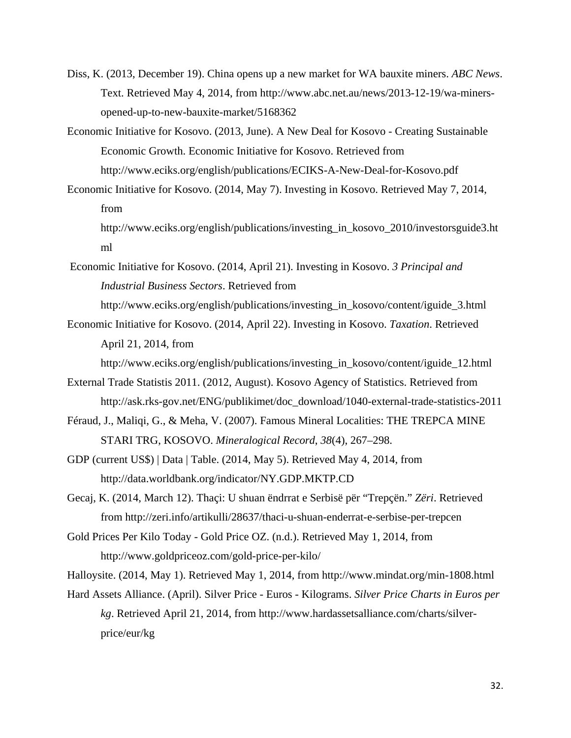- Diss, K. (2013, December 19). China opens up a new market for WA bauxite miners. *ABC News*. Text. Retrieved May 4, 2014, from http://www.abc.net.au/news/2013-12-19/wa-minersopened-up-to-new-bauxite-market/5168362
- Economic Initiative for Kosovo. (2013, June). A New Deal for Kosovo Creating Sustainable Economic Growth. Economic Initiative for Kosovo. Retrieved from http://www.eciks.org/english/publications/ECIKS-A-New-Deal-for-Kosovo.pdf
- Economic Initiative for Kosovo. (2014, May 7). Investing in Kosovo. Retrieved May 7, 2014, from

http://www.eciks.org/english/publications/investing\_in\_kosovo\_2010/investorsguide3.ht ml

- Economic Initiative for Kosovo. (2014, April 21). Investing in Kosovo. *3 Principal and Industrial Business Sectors*. Retrieved from http://www.eciks.org/english/publications/investing\_in\_kosovo/content/iguide\_3.html
- Economic Initiative for Kosovo. (2014, April 22). Investing in Kosovo. *Taxation*. Retrieved April 21, 2014, from

http://www.eciks.org/english/publications/investing\_in\_kosovo/content/iguide\_12.html

- External Trade Statistis 2011. (2012, August). Kosovo Agency of Statistics. Retrieved from http://ask.rks-gov.net/ENG/publikimet/doc\_download/1040-external-trade-statistics-2011
- Féraud, J., Maliqi, G., & Meha, V. (2007). Famous Mineral Localities: THE TREPCA MINE STARI TRG, KOSOVO. *Mineralogical Record*, *38*(4), 267–298.
- GDP (current US\$) | Data | Table. (2014, May 5). Retrieved May 4, 2014, from http://data.worldbank.org/indicator/NY.GDP.MKTP.CD
- Gecaj, K. (2014, March 12). Thaçi: U shuan ëndrrat e Serbisë për "Trepçën." *Zëri*. Retrieved from http://zeri.info/artikulli/28637/thaci-u-shuan-enderrat-e-serbise-per-trepcen
- Gold Prices Per Kilo Today Gold Price OZ. (n.d.). Retrieved May 1, 2014, from http://www.goldpriceoz.com/gold-price-per-kilo/

Halloysite. (2014, May 1). Retrieved May 1, 2014, from http://www.mindat.org/min-1808.html

Hard Assets Alliance. (April). Silver Price - Euros - Kilograms. *Silver Price Charts in Euros per kg*. Retrieved April 21, 2014, from http://www.hardassetsalliance.com/charts/silverprice/eur/kg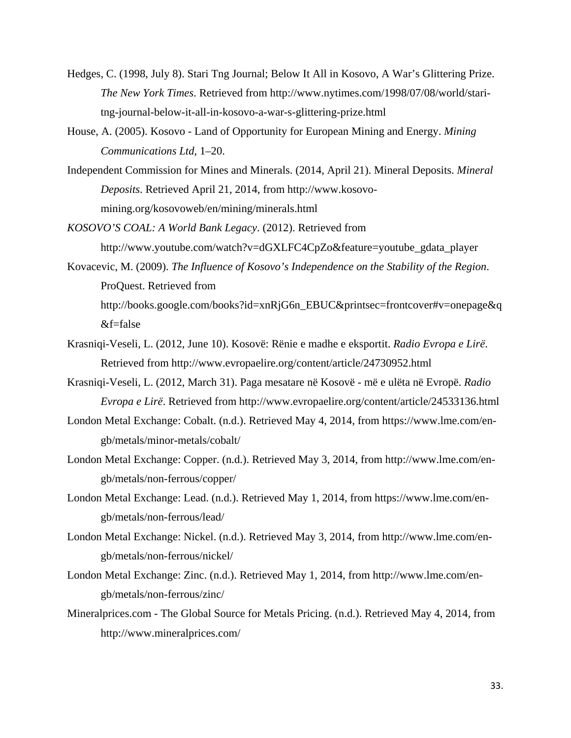- Hedges, C. (1998, July 8). Stari Tng Journal; Below It All in Kosovo, A War's Glittering Prize. *The New York Times*. Retrieved from http://www.nytimes.com/1998/07/08/world/staritng-journal-below-it-all-in-kosovo-a-war-s-glittering-prize.html
- House, A. (2005). Kosovo Land of Opportunity for European Mining and Energy. *Mining Communications Ltd*, 1–20.
- Independent Commission for Mines and Minerals. (2014, April 21). Mineral Deposits. *Mineral Deposits*. Retrieved April 21, 2014, from http://www.kosovomining.org/kosovoweb/en/mining/minerals.html
- *KOSOVO'S COAL: A World Bank Legacy*. (2012). Retrieved from http://www.youtube.com/watch?v=dGXLFC4CpZo&feature=youtube\_gdata\_player
- Kovacevic, M. (2009). *The Influence of Kosovo's Independence on the Stability of the Region*. ProQuest. Retrieved from http://books.google.com/books?id=xnRjG6n\_EBUC&printsec=frontcover#v=onepage&q &f=false
- Krasniqi-Veseli, L. (2012, June 10). Kosovë: Rënie e madhe e eksportit. *Radio Evropa e Lirë*. Retrieved from http://www.evropaelire.org/content/article/24730952.html
- Krasniqi-Veseli, L. (2012, March 31). Paga mesatare në Kosovë më e ulëta në Evropë. *Radio Evropa e Lirë*. Retrieved from http://www.evropaelire.org/content/article/24533136.html
- London Metal Exchange: Cobalt. (n.d.). Retrieved May 4, 2014, from https://www.lme.com/engb/metals/minor-metals/cobalt/
- London Metal Exchange: Copper. (n.d.). Retrieved May 3, 2014, from http://www.lme.com/engb/metals/non-ferrous/copper/
- London Metal Exchange: Lead. (n.d.). Retrieved May 1, 2014, from https://www.lme.com/engb/metals/non-ferrous/lead/
- London Metal Exchange: Nickel. (n.d.). Retrieved May 3, 2014, from http://www.lme.com/engb/metals/non-ferrous/nickel/
- London Metal Exchange: Zinc. (n.d.). Retrieved May 1, 2014, from http://www.lme.com/engb/metals/non-ferrous/zinc/
- Mineralprices.com The Global Source for Metals Pricing. (n.d.). Retrieved May 4, 2014, from http://www.mineralprices.com/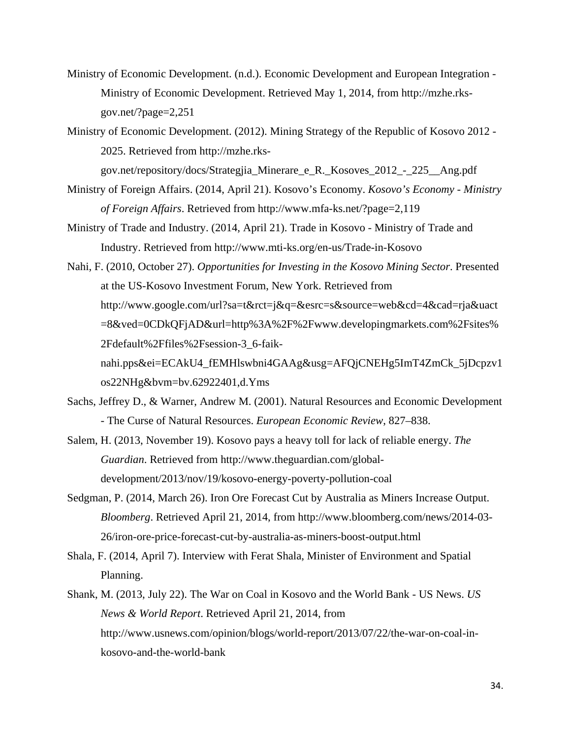- Ministry of Economic Development. (n.d.). Economic Development and European Integration Ministry of Economic Development. Retrieved May 1, 2014, from http://mzhe.rksgov.net/?page=2,251
- Ministry of Economic Development. (2012). Mining Strategy of the Republic of Kosovo 2012 2025. Retrieved from http://mzhe.rks-

gov.net/repository/docs/Strategjia\_Minerare\_e\_R.\_Kosoves\_2012\_-\_225\_\_Ang.pdf

- Ministry of Foreign Affairs. (2014, April 21). Kosovo's Economy. *Kosovo's Economy Ministry of Foreign Affairs*. Retrieved from http://www.mfa-ks.net/?page=2,119
- Ministry of Trade and Industry. (2014, April 21). Trade in Kosovo Ministry of Trade and Industry. Retrieved from http://www.mti-ks.org/en-us/Trade-in-Kosovo
- Nahi, F. (2010, October 27). *Opportunities for Investing in the Kosovo Mining Sector*. Presented at the US-Kosovo Investment Forum, New York. Retrieved from http://www.google.com/url?sa=t&rct=j&q=&esrc=s&source=web&cd=4&cad=rja&uact =8&ved=0CDkQFjAD&url=http%3A%2F%2Fwww.developingmarkets.com%2Fsites% 2Fdefault%2Ffiles%2Fsession-3\_6-faiknahi.pps&ei=ECAkU4\_fEMHlswbni4GAAg&usg=AFQjCNEHg5ImT4ZmCk\_5jDcpzv1 os22NHg&bvm=bv.62922401,d.Yms
- Sachs, Jeffrey D., & Warner, Andrew M. (2001). Natural Resources and Economic Development - The Curse of Natural Resources. *European Economic Review*, 827–838.
- Salem, H. (2013, November 19). Kosovo pays a heavy toll for lack of reliable energy. *The Guardian*. Retrieved from http://www.theguardian.com/globaldevelopment/2013/nov/19/kosovo-energy-poverty-pollution-coal
- Sedgman, P. (2014, March 26). Iron Ore Forecast Cut by Australia as Miners Increase Output. *Bloomberg*. Retrieved April 21, 2014, from http://www.bloomberg.com/news/2014-03- 26/iron-ore-price-forecast-cut-by-australia-as-miners-boost-output.html
- Shala, F. (2014, April 7). Interview with Ferat Shala, Minister of Environment and Spatial Planning.
- Shank, M. (2013, July 22). The War on Coal in Kosovo and the World Bank US News. *US News & World Report*. Retrieved April 21, 2014, from http://www.usnews.com/opinion/blogs/world-report/2013/07/22/the-war-on-coal-inkosovo-and-the-world-bank